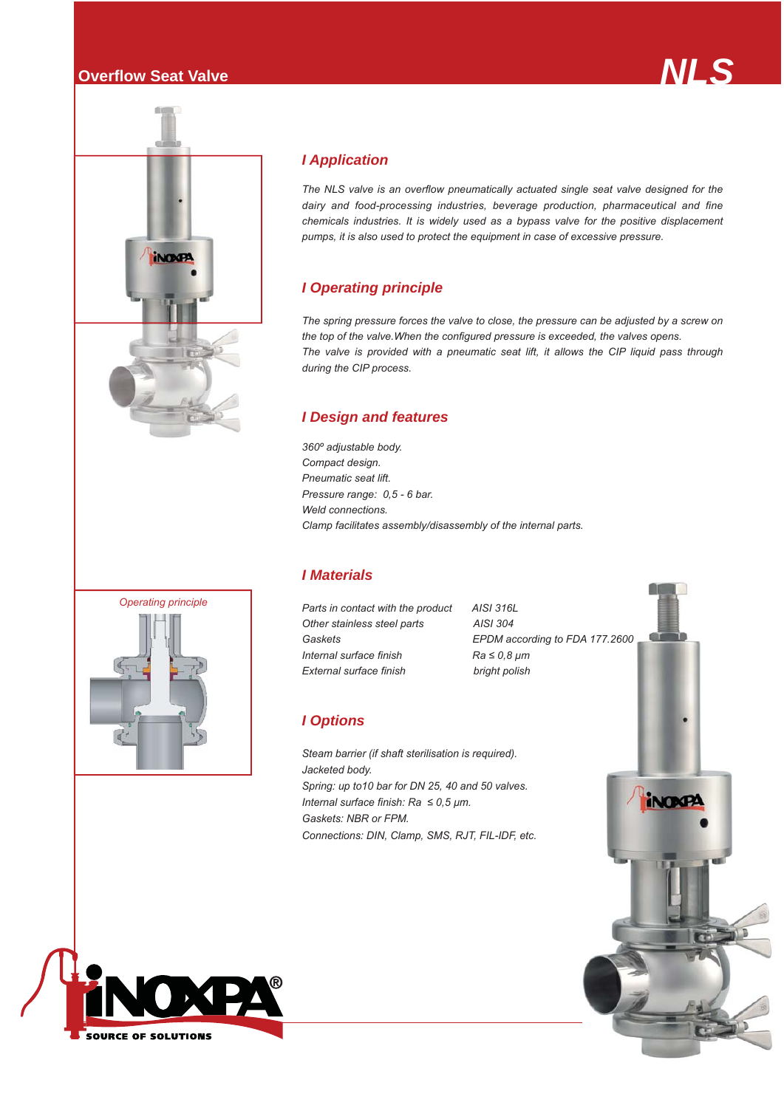



# *I Application*

*The NLS valve is an overflow pneumatically actuated single seat valve designed for the dairy and food-processing industries, beverage production, pharmaceutical and fine chemicals industries. It is widely used as a bypass valve for the positive displacement pumps, it is also used to protect the equipment in case of excessive pressure.*

### *I Operating principle*

*The spring pressure forces the valve to close, the pressure can be adjusted by a screw on the top of the valve.When the configured pressure is exceeded, the valves opens. The valve is provided with a pneumatic seat lift, it allows the CIP liquid pass through during the CIP process.*

#### *I Design and features*

*360º adjustable body. Compact design. Pneumatic seat lift. Pressure range: 0,5 - 6 bar. Weld connections. Clamp facilitates assembly/disassembly of the internal parts.*

#### *I Materials*

*Parts in contact with the product AISI 316L Other stainless steel parts AISI 304 Internal surface finish Ra ≤ 0,8 μm External surface finish bright polish*

*Gaskets EPDM according to FDA 177.2600*

## *I Options*

*Steam barrier (if shaft sterilisation is required). Jacketed body. Spring: up to10 bar for DN 25, 40 and 50 valves. Internal surface finish: Ra ≤ 0,5 μm. Gaskets: NBR or FPM. Connections: DIN, Clamp, SMS, RJT, FIL-IDF, etc.*